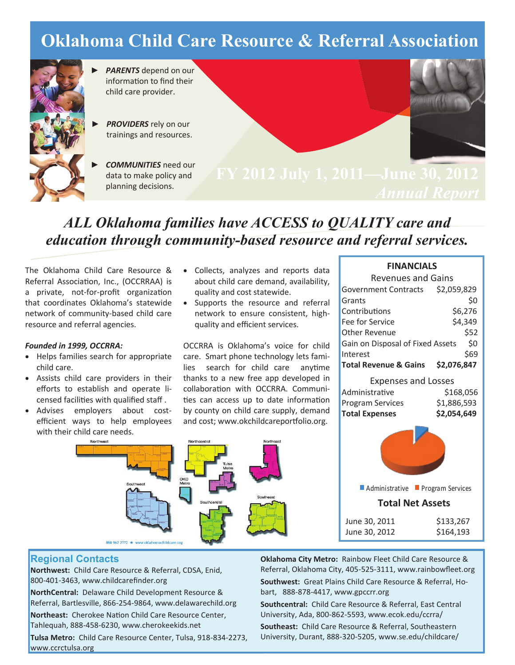## **Oklahoma Child Care Resource & Referral Association**



- ► *PARENTS* depend on our information to find their child care provider.
- ► *PROVIDERS* rely on our trainings and resources.
	- ► *COMMUNITIES* need our data to make policy and planning decisions.



**FY 2012 July 1, 2011—June 30, 2012**

### *ALL Oklahoma families have ACCESS to QUALITY care and education through community-based resource and referral services.*

The Oklahoma Child Care Resource & Referral Association, Inc., (OCCRRAA) is a private, not-for-profit organization that coordinates Oklahoma's statewide network of community-based child care resource and referral agencies.

#### *Founded in 1999, OCCRRA:*

- Helps families search for appropriate child care.
- Assists child care providers in their efforts to establish and operate licensed facilities with qualified staff .
- Advises employers about costefficient ways to help employees with their child care needs.
- Collects, analyzes and reports data about child care demand, availability, quality and cost statewide.
- Supports the resource and referral network to ensure consistent, highquality and efficient services.

OCCRRA is Oklahoma's voice for child care. Smart phone technology lets families search for child care anytime thanks to a new free app developed in collaboration with OCCRRA. Communities can access up to date information by county on child care supply, demand and cost; www.okchildcareportfolio.org.



#### **FINANCIALS**

| <b>Revenues and Gains</b>        |                  |  |
|----------------------------------|------------------|--|
| Government Contracts \$2,059,829 |                  |  |
| Grants                           | \$0              |  |
| Contributions                    | \$6,276          |  |
| Fee for Service                  | \$4,349          |  |
| Other Revenue                    | \$52             |  |
| Gain on Disposal of Fixed Assets | \$0              |  |
| Interest                         | \$69             |  |
| Total Revenue & Gains            | \$2,076,847      |  |
| <b>Expenses and Losses</b>       |                  |  |
| Administrative                   | \$168,056        |  |
| Program Services                 | \$1,886,593      |  |
| <b>Total Expenses</b>            | \$2,054,649      |  |
|                                  |                  |  |
| Administrative                   | Program Services |  |
| <b>Total Net Assets</b>          |                  |  |
|                                  |                  |  |

| June 30, 2011 | \$133,267 |
|---------------|-----------|
| June 30, 2012 | \$164,193 |

#### **Regional Contacts**

**Northwest:** Child Care Resource & Referral, CDSA, Enid, 800-401-3463, www.childcarefinder.org

**NorthCentral:** Delaware Child Development Resource & Referral, Bartlesville, 866-254-9864, www.delawarechild.org

**Northeast:** Cherokee Nation Child Care Resource Center, Tahlequah, 888-458-6230, www.cherokeekids.net

**Tulsa Metro:** Child Care Resource Center, Tulsa, 918-834-2273, www.ccrctulsa.org

**Oklahoma City Metro:** Rainbow Fleet Child Care Resource & Referral, Oklahoma City, 405-525-3111, www.rainbowfleet.org

**Southwest:** Great Plains Child Care Resource & Referral, Hobart, 888-878-4417, www.gpccrr.org

**Southcentral:** Child Care Resource & Referral, East Central University, Ada, 800-862-5593, www.ecok.edu/ccrra/

**Southeast:** Child Care Resource & Referral, Southeastern University, Durant, 888-320-5205, www.se.edu/childcare/